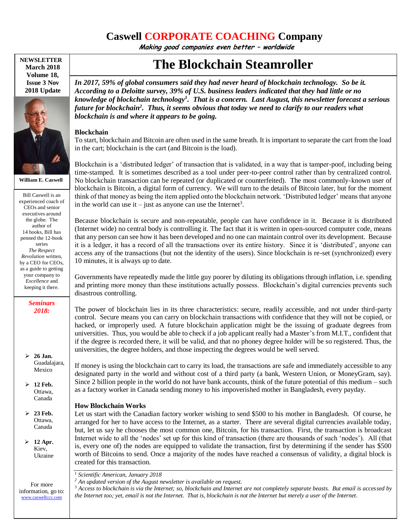# **Caswell CORPORATE COACHING Company**

**Making good companies even better – worldwide**

**NEWSLETTER March 2018 Volume 18, Issue 3 Nov 2018 Update**



**William E. Caswell**

Bill Caswell is an experienced coach of CEOs and senior executives around the globe. The author of 14 books, Bill has penned the 12-book series *The Respect Revolution* written, by a CEO for CEOs, as a guide to getting your company to *Excellence* and keeping it there.

> *Seminars 2018:*

 **26 Jan.** Guadalajara, Mexico

 **12 Feb.** Ottawa, Canada

 **23 Feb.** Ottawa, Canada

 **12 Apr.** Kiev, Ukraine

For more information, go to: [www.caswellccc.com](http://www.caswellccc.com/)

# **The Blockchain Steamroller**

*In 2017, 59% of global consumers said they had never heard of blockchain technology. So be it. According to a Deloitte survey, 39% of U.S. business leaders indicated that they had little or no knowledge of blockchain technology<sup>1</sup> . That is a concern. Last August, this newsletter forecast a serious future for blockchain<sup>2</sup> . Thus, it seems obvious that today we need to clarify to our readers what blockchain is and where it appears to be going.*

#### **Blockchain**

To start, blockchain and Bitcoin are often used in the same breath. It is important to separate the cart from the load in the cart; blockchain is the cart (and Bitcoin is the load).

Blockchain is a 'distributed ledger' of transaction that is validated, in a way that is tamper-poof, including being time-stamped. It is sometimes described as a tool under peer-to-peer control rather than by centralized control. No blockchain transaction can be repeated (or duplicated or counterfeited). The most commonly-known user of blockchain is Bitcoin, a digital form of currency. We will turn to the details of Bitcoin later, but for the moment think of that money as being the item applied onto the blockchain network. 'Distributed ledger' means that anyone in the world can use it – just as anyone can use the Internet<sup>3</sup>.

Because blockchain is secure and non-repeatable, people can have confidence in it. Because it is distributed (Internet wide) no central body is controlling it. The fact that it is written in open-sourced computer code, means that any person can see how it has been developed and no one can maintain control over its development. Because it is a ledger, it has a record of all the transactions over its entire history. Since it is 'distributed', anyone can access any of the transactions (but not the identity of the users). Since blockchain is re-set (synchronized) every 10 minutes, it is always up to date.

Governments have repeatedly made the little guy poorer by diluting its obligations through inflation, i.e. spending and printing more money than these institutions actually possess. Blockchain's digital currencies prevents such disastrous controlling.

The power of blockchain lies in its three characteristics: secure, readily accessible, and not under third-party control. Secure means you can carry on blockchain transactions with confidence that they will not be copied, or hacked, or improperly used. A future blockchain application might be the issuing of graduate degrees from universities. Thus, you would be able to check if a job applicant really had a Master's from M.I.T., confident that if the degree is recorded there, it will be valid, and that no phoney degree holder will be so registered. Thus, the universities, the degree holders, and those inspecting the degrees would be well served.

If money is using the blockchain cart to carry its load, the transactions are safe and immediately accessible to any designated party in the world and without cost of a third party (a bank, Western Union, or MoneyGram, say). Since 2 billion people in the world do not have bank accounts, think of the future potential of this medium – such as a factory worker in Canada sending money to his impoverished mother in Bangladesh, every payday.

## **How Blockchain Works**

Let us start with the Canadian factory worker wishing to send \$500 to his mother in Bangladesh. Of course, he arranged for her to have access to the Internet, as a starter. There are several digital currencies available today, but, let us say he chooses the most common one, Bitcoin, for his transaction. First, the transaction is broadcast Internet wide to all the 'nodes' set up for this kind of transaction (there are thousands of such 'nodes'). All (that is, every one of) the nodes are equipped to validate the transaction, first by determining if the sender has \$500 worth of Bitcoins to send. Once a majority of the nodes have reached a consensus of validity, a digital block is created for this transaction.

<sup>1</sup> *Scientific American, January 2018*

*<sup>2</sup> An updated version of the August newsletter is available on request.*

<sup>3</sup> *Access to blockchain is via the Internet; so, blockchain and Internet are not completely separate beasts. But email is accessed by the Internet too; yet, email is not the Internet. That is, blockchain is not the Internet but merely a user of the Internet.*